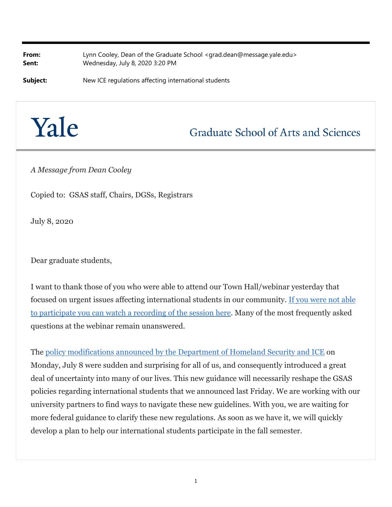**From:** Lynn Cooley, Dean of the Graduate School <grad.dean@message.yale.edu> **Sent:** Wednesday, July 8, 2020 3:20 PM

**Subject:** New ICE regulations affecting international students

## Yale

## **Graduate School of Arts and Sciences**

*A Message from Dean Cooley*

Copied to: GSAS staff, Chairs, DGSs, Registrars

July 8, 2020

Dear graduate students,

I want to thank those of you who were able to attend our Town Hall/webinar yesterday that focused on urgent issues affecting international students in our community. If you were not able to participate you can watch a recording of the session here. Many of the most frequently asked questions at the webinar remain unanswered.

The policy modifications announced by the Department of Homeland Security and ICE on Monday, July 8 were sudden and surprising for all of us, and consequently introduced a great deal of uncertainty into many of our lives. This new guidance will necessarily reshape the GSAS policies regarding international students that we announced last Friday. We are working with our university partners to find ways to navigate these new guidelines. With you, we are waiting for more federal guidance to clarify these new regulations. As soon as we have it, we will quickly develop a plan to help our international students participate in the fall semester.